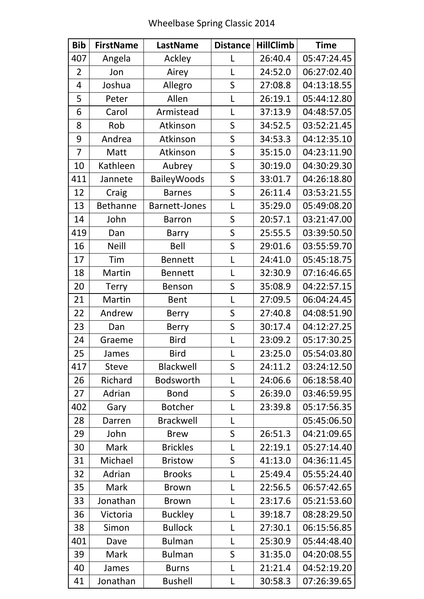| <b>Bib</b>     | <b>FirstName</b> | LastName           | <b>Distance</b>         | <b>HillClimb</b> | <b>Time</b> |
|----------------|------------------|--------------------|-------------------------|------------------|-------------|
| 407            | Angela           | Ackley             | L                       | 26:40.4          | 05:47:24.45 |
| $\overline{2}$ | Jon              | Airey              | L                       | 24:52.0          | 06:27:02.40 |
| $\overline{4}$ | Joshua           | Allegro            | S                       | 27:08.8          | 04:13:18.55 |
| 5              | Peter            | Allen              | L                       | 26:19.1          | 05:44:12.80 |
| 6              | Carol            | Armistead          | L                       | 37:13.9          | 04:48:57.05 |
| 8              | Rob              | Atkinson           | S                       | 34:52.5          | 03:52:21.45 |
| 9              | Andrea           | Atkinson           | S                       | 34:53.3          | 04:12:35.10 |
| $\overline{7}$ | Matt             | Atkinson           | S                       | 35:15.0          | 04:23:11.90 |
| 10             | Kathleen         | Aubrey             | S                       | 30:19.0          | 04:30:29.30 |
| 411            | Jannete          | <b>BaileyWoods</b> | S                       | 33:01.7          | 04:26:18.80 |
| 12             | Craig            | <b>Barnes</b>      | S                       | 26:11.4          | 03:53:21.55 |
| 13             | <b>Bethanne</b>  | Barnett-Jones      | L                       | 35:29.0          | 05:49:08.20 |
| 14             | John             | <b>Barron</b>      | S                       | 20:57.1          | 03:21:47.00 |
| 419            | Dan              | <b>Barry</b>       | S                       | 25:55.5          | 03:39:50.50 |
| 16             | <b>Neill</b>     | Bell               | $\overline{\mathsf{S}}$ | 29:01.6          | 03:55:59.70 |
| 17             | Tim              | <b>Bennett</b>     | L                       | 24:41.0          | 05:45:18.75 |
| 18             | Martin           | <b>Bennett</b>     | L                       | 32:30.9          | 07:16:46.65 |
| 20             | <b>Terry</b>     | Benson             | S                       | 35:08.9          | 04:22:57.15 |
| 21             | Martin           | <b>Bent</b>        | L                       | 27:09.5          | 06:04:24.45 |
| 22             | Andrew           | <b>Berry</b>       | S                       | 27:40.8          | 04:08:51.90 |
| 23             | Dan              | <b>Berry</b>       | S                       | 30:17.4          | 04:12:27.25 |
| 24             | Graeme           | <b>Bird</b>        | $\mathsf{L}$            | 23:09.2          | 05:17:30.25 |
| 25             | James            | <b>Bird</b>        | L                       | 23:25.0          | 05:54:03.80 |
| 417            | <b>Steve</b>     | Blackwell          | S                       | 24:11.2          | 03:24:12.50 |
| 26             | Richard          | <b>Bodsworth</b>   | L                       | 24:06.6          | 06:18:58.40 |
| 27             | Adrian           | <b>Bond</b>        | S                       | 26:39.0          | 03:46:59.95 |
| 402            | Gary             | <b>Botcher</b>     | L                       | 23:39.8          | 05:17:56.35 |
| 28             | Darren           | <b>Brackwell</b>   | L                       |                  | 05:45:06.50 |
| 29             | John             | <b>Brew</b>        | S                       | 26:51.3          | 04:21:09.65 |
| 30             | Mark             | <b>Brickles</b>    | L                       | 22:19.1          | 05:27:14.40 |
| 31             | Michael          | <b>Bristow</b>     | S                       | 41:13.0          | 04:36:11.45 |
| 32             | Adrian           | <b>Brooks</b>      | L                       | 25:49.4          | 05:55:24.40 |
| 35             | Mark             | <b>Brown</b>       | $\mathsf{L}$            | 22:56.5          | 06:57:42.65 |
| 33             | Jonathan         | <b>Brown</b>       | L                       | 23:17.6          | 05:21:53.60 |
| 36             | Victoria         | <b>Buckley</b>     | L                       | 39:18.7          | 08:28:29.50 |
| 38             | Simon            | <b>Bullock</b>     | L                       | 27:30.1          | 06:15:56.85 |
| 401            | Dave             | <b>Bulman</b>      | L                       | 25:30.9          | 05:44:48.40 |
| 39             | Mark             | <b>Bulman</b>      | S                       | 31:35.0          | 04:20:08.55 |
| 40             | James            | <b>Burns</b>       | L                       | 21:21.4          | 04:52:19.20 |
| 41             | Jonathan         | <b>Bushell</b>     | L                       | 30:58.3          | 07:26:39.65 |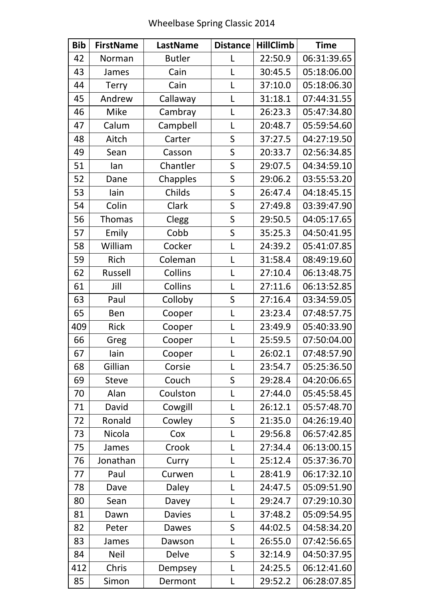| <b>Bib</b> | <b>FirstName</b> | <b>LastName</b> | <b>Distance</b> | <b>HillClimb</b> | <b>Time</b> |
|------------|------------------|-----------------|-----------------|------------------|-------------|
| 42         | Norman           | <b>Butler</b>   | L               | 22:50.9          | 06:31:39.65 |
| 43         | James            | Cain            | L               | 30:45.5          | 05:18:06.00 |
| 44         | <b>Terry</b>     | Cain            | $\mathsf{L}$    | 37:10.0          | 05:18:06.30 |
| 45         | Andrew           | Callaway        | L               | 31:18.1          | 07:44:31.55 |
| 46         | <b>Mike</b>      | Cambray         | L               | 26:23.3          | 05:47:34.80 |
| 47         | Calum            | Campbell        | L               | 20:48.7          | 05:59:54.60 |
| 48         | Aitch            | Carter          | S               | 37:27.5          | 04:27:19.50 |
| 49         | Sean             | Casson          | S               | 20:33.7          | 02:56:34.85 |
| 51         | lan              | Chantler        | S               | 29:07.5          | 04:34:59.10 |
| 52         | Dane             | Chapples        | S               | 29:06.2          | 03:55:53.20 |
| 53         | lain             | Childs          | $\mathsf S$     | 26:47.4          | 04:18:45.15 |
| 54         | Colin            | Clark           | S               | 27:49.8          | 03:39:47.90 |
| 56         | <b>Thomas</b>    | Clegg           | $\mathsf S$     | 29:50.5          | 04:05:17.65 |
| 57         | Emily            | Cobb            | S               | 35:25.3          | 04:50:41.95 |
| 58         | William          | Cocker          | L               | 24:39.2          | 05:41:07.85 |
| 59         | Rich             | Coleman         | L               | 31:58.4          | 08:49:19.60 |
| 62         | Russell          | Collins         | L               | 27:10.4          | 06:13:48.75 |
| 61         | Jill             | <b>Collins</b>  | $\mathsf{L}$    | 27:11.6          | 06:13:52.85 |
| 63         | Paul             | Colloby         | $\mathsf S$     | 27:16.4          | 03:34:59.05 |
| 65         | Ben              | Cooper          | L               | 23:23.4          | 07:48:57.75 |
| 409        | Rick             | Cooper          | L               | 23:49.9          | 05:40:33.90 |
| 66         | Greg             | Cooper          | $\mathsf{L}$    | 25:59.5          | 07:50:04.00 |
| 67         | lain             | Cooper          | $\mathbf{I}$    | 26:02.1          | 07:48:57.90 |
| 68         | Gillian          | Corsie          | L               | 23:54.7          | 05:25:36.50 |
| 69         | <b>Steve</b>     | Couch           | S               | 29:28.4          | 04:20:06.65 |
| 70         | Alan             | Coulston        | L               | 27:44.0          | 05:45:58.45 |
| 71         | David            | Cowgill         | L               | 26:12.1          | 05:57:48.70 |
| 72         | Ronald           | Cowley          | $\mathsf S$     | 21:35.0          | 04:26:19.40 |
| 73         | Nicola           | Cox             | L               | 29:56.8          | 06:57:42.85 |
| 75         | James            | Crook           | L               | 27:34.4          | 06:13:00.15 |
| 76         | Jonathan         | Curry           | L               | 25:12.4          | 05:37:36.70 |
| 77         | Paul             | Curwen          | L               | 28:41.9          | 06:17:32.10 |
| 78         | Dave             | Daley           | L               | 24:47.5          | 05:09:51.90 |
| 80         | Sean             | Davey           | L               | 29:24.7          | 07:29:10.30 |
| 81         | Dawn             | <b>Davies</b>   | L               | 37:48.2          | 05:09:54.95 |
| 82         | Peter            | Dawes           | $\mathsf S$     | 44:02.5          | 04:58:34.20 |
| 83         | James            | Dawson          | L               | 26:55.0          | 07:42:56.65 |
| 84         | <b>Neil</b>      | <b>Delve</b>    | S               | 32:14.9          | 04:50:37.95 |
| 412        | Chris            | Dempsey         | L               | 24:25.5          | 06:12:41.60 |
| 85         | Simon            | Dermont         | L               | 29:52.2          | 06:28:07.85 |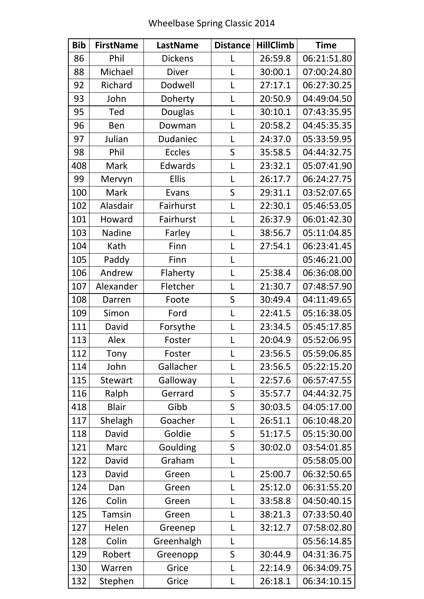| <b>Bib</b> | <b>FirstName</b> | <b>LastName</b> | <b>Distance</b> | <b>HillClimb</b> | <b>Time</b> |
|------------|------------------|-----------------|-----------------|------------------|-------------|
| 86         | Phil             | <b>Dickens</b>  | L               | 26:59.8          | 06:21:51.80 |
| 88         | Michael          | <b>Diver</b>    | L               | 30:00.1          | 07:00:24.80 |
| 92         | Richard          | Dodwell         | L               | 27:17.1          | 06:27:30.25 |
| 93         | John             | Doherty         | $\mathsf{L}$    | 20:50.9          | 04:49:04.50 |
| 95         | Ted              | Douglas         | $\mathsf{L}$    | 30:10.1          | 07:43:35.95 |
| 96         | Ben              | Dowman          | L               | 20:58.2          | 04:45:35.35 |
| 97         | Julian           | <b>Dudaniec</b> | L               | 24:37.0          | 05:33:59.95 |
| 98         | Phil             | <b>Eccles</b>   | $\mathsf S$     | 35:58.5          | 04:44:32.75 |
| 408        | Mark             | Edwards         | L               | 23:32.1          | 05:07:41.90 |
| 99         | Mervyn           | <b>Ellis</b>    | L               | 26:17.7          | 06:24:27.75 |
| 100        | Mark             | Evans           | S               | 29:31.1          | 03:52:07.65 |
| 102        | Alasdair         | Fairhurst       | L               | 22:30.1          | 05:46:53.05 |
| 101        | Howard           | Fairhurst       | $\mathsf{L}$    | 26:37.9          | 06:01:42.30 |
| 103        | Nadine           | Farley          | L               | 38:56.7          | 05:11:04.85 |
| 104        | Kath             | Finn            | L               | 27:54.1          | 06:23:41.45 |
| 105        | Paddy            | Finn            | L               |                  | 05:46:21.00 |
| 106        | Andrew           | Flaherty        | L               | 25:38.4          | 06:36:08.00 |
| 107        | Alexander        | Fletcher        | $\mathsf{L}$    | 21:30.7          | 07:48:57.90 |
| 108        | Darren           | Foote           | $\mathsf S$     | 30:49.4          | 04:11:49.65 |
| 109        | Simon            | Ford            | $\mathsf{L}$    | 22:41.5          | 05:16:38.05 |
| 111        | David            | Forsythe        | L               | 23:34.5          | 05:45:17.85 |
| 113        | Alex             | Foster          | L               | 20:04.9          | 05:52:06.95 |
| 112        | Tony             | Foster          | L               | 23:56.5          | 05:59:06.85 |
| 114        | John             | Gallacher       | L               | 23:56.5          | 05:22:15.20 |
| 115        | <b>Stewart</b>   | Galloway        | L               | 22:57.6          | 06:57:47.55 |
| 116        | Ralph            | Gerrard         | S               | 35:57.7          | 04:44:32.75 |
| 418        | <b>Blair</b>     | Gibb            | S               | 30:03.5          | 04:05:17.00 |
| 117        | Shelagh          | Goacher         | L               | 26:51.1          | 06:10:48.20 |
| 118        | David            | Goldie          | S               | 51:17.5          | 05:15:30.00 |
| 121        | Marc             | Goulding        | S               | 30:02.0          | 03:54:01.85 |
| 122        | David            | Graham          | L               |                  | 05:58:05.00 |
| 123        | David            | Green           | L               | 25:00.7          | 06:32:50.65 |
| 124        | Dan              | Green           | L               | 25:12.0          | 06:31:55.20 |
| 126        | Colin            | Green           | L               | 33:58.8          | 04:50:40.15 |
| 125        | <b>Tamsin</b>    | Green           | L               | 38:21.3          | 07:33:50.40 |
| 127        | Helen            | Greenep         | L               | 32:12.7          | 07:58:02.80 |
| 128        | Colin            | Greenhalgh      | L               |                  | 05:56:14.85 |
| 129        | Robert           | Greenopp        | $\sf S$         | 30:44.9          | 04:31:36.75 |
| 130        | Warren           | Grice           | L               | 22:14.9          | 06:34:09.75 |
| 132        | Stephen          | Grice           | L               | 26:18.1          | 06:34:10.15 |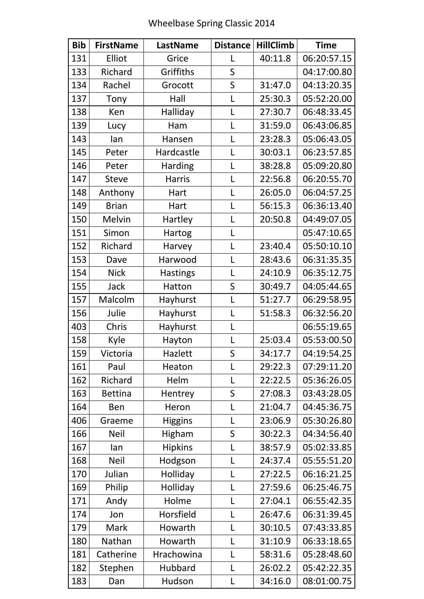| <b>Bib</b> | <b>FirstName</b> | <b>LastName</b> | <b>Distance</b> | <b>HillClimb</b> | <b>Time</b> |
|------------|------------------|-----------------|-----------------|------------------|-------------|
| 131        | Elliot           | Grice           | L               | 40:11.8          | 06:20:57.15 |
| 133        | Richard          | Griffiths       | S               |                  | 04:17:00.80 |
| 134        | Rachel           | Grocott         | $\mathsf S$     | 31:47.0          | 04:13:20.35 |
| 137        | Tony             | Hall            | L               | 25:30.3          | 05:52:20.00 |
| 138        | Ken              | Halliday        | L               | 27:30.7          | 06:48:33.45 |
| 139        | Lucy             | Ham             | L               | 31:59.0          | 06:43:06.85 |
| 143        | lan              | Hansen          | L               | 23:28.3          | 05:06:43.05 |
| 145        | Peter            | Hardcastle      | L               | 30:03.1          | 06:23:57.85 |
| 146        | Peter            | <b>Harding</b>  | L               | 38:28.8          | 05:09:20.80 |
| 147        | <b>Steve</b>     | <b>Harris</b>   | L               | 22:56.8          | 06:20:55.70 |
| 148        | Anthony          | Hart            | $\mathsf{L}$    | 26:05.0          | 06:04:57.25 |
| 149        | <b>Brian</b>     | Hart            | L               | 56:15.3          | 06:36:13.40 |
| 150        | Melvin           | Hartley         | L               | 20:50.8          | 04:49:07.05 |
| 151        | Simon            | Hartog          | L               |                  | 05:47:10.65 |
| 152        | Richard          | Harvey          | L               | 23:40.4          | 05:50:10.10 |
| 153        | Dave             | Harwood         | $\mathsf{L}$    | 28:43.6          | 06:31:35.35 |
| 154        | <b>Nick</b>      | <b>Hastings</b> | L               | 24:10.9          | 06:35:12.75 |
| 155        | Jack             | Hatton          | S               | 30:49.7          | 04:05:44.65 |
| 157        | Malcolm          | Hayhurst        | L               | 51:27.7          | 06:29:58.95 |
| 156        | Julie            | Hayhurst        | $\mathsf{L}$    | 51:58.3          | 06:32:56.20 |
| 403        | Chris            | Hayhurst        | L               |                  | 06:55:19.65 |
| 158        | Kyle             | Hayton          | L               | 25:03.4          | 05:53:00.50 |
| 159        | Victoria         | Hazlett         | S               | 34:17.7          | 04:19:54.25 |
| 161        | Paul             | Heaton          | L               | 29:22.3          | 07:29:11.20 |
| 162        | Richard          | Helm            | L               | 22:22.5          | 05:36:26.05 |
| 163        | <b>Bettina</b>   | Hentrey         | S               | 27:08.3          | 03:43:28.05 |
| 164        | Ben              | Heron           | L               | 21:04.7          | 04:45:36.75 |
| 406        | Graeme           | <b>Higgins</b>  | L               | 23:06.9          | 05:30:26.80 |
| 166        | <b>Neil</b>      | Higham          | S               | 30:22.3          | 04:34:56.40 |
| 167        | lan              | <b>Hipkins</b>  | L               | 38:57.9          | 05:02:33.85 |
| 168        | <b>Neil</b>      | Hodgson         | L               | 24:37.4          | 05:55:51.20 |
| 170        | Julian           | Holliday        | L               | 27:22.5          | 06:16:21.25 |
| 169        | Philip           | Holliday        | $\mathsf{L}$    | 27:59.6          | 06:25:46.75 |
| 171        | Andy             | Holme           | L               | 27:04.1          | 06:55:42.35 |
| 174        | Jon              | Horsfield       | L               | 26:47.6          | 06:31:39.45 |
| 179        | Mark             | Howarth         | L               | 30:10.5          | 07:43:33.85 |
| 180        | Nathan           | Howarth         | $\mathsf{L}$    | 31:10.9          | 06:33:18.65 |
| 181        | Catherine        | Hrachowina      | L               | 58:31.6          | 05:28:48.60 |
| 182        | Stephen          | Hubbard         | L               | 26:02.2          | 05:42:22.35 |
| 183        | Dan              | Hudson          | L               | 34:16.0          | 08:01:00.75 |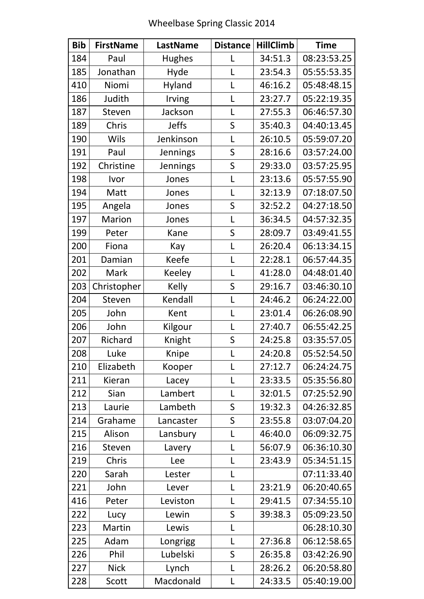| <b>Bib</b> | <b>FirstName</b> | <b>LastName</b> | <b>Distance</b> | <b>HillClimb</b> | <b>Time</b> |
|------------|------------------|-----------------|-----------------|------------------|-------------|
| 184        | Paul             | <b>Hughes</b>   | L               | 34:51.3          | 08:23:53.25 |
| 185        | Jonathan         | Hyde            | L               | 23:54.3          | 05:55:53.35 |
| 410        | Niomi            | Hyland          | L               | 46:16.2          | 05:48:48.15 |
| 186        | Judith           | Irving          | L               | 23:27.7          | 05:22:19.35 |
| 187        | Steven           | Jackson         | L               | 27:55.3          | 06:46:57.30 |
| 189        | Chris            | <b>Jeffs</b>    | S               | 35:40.3          | 04:40:13.45 |
| 190        | Wils             | Jenkinson       | L               | 26:10.5          | 05:59:07.20 |
| 191        | Paul             | Jennings        | S               | 28:16.6          | 03:57:24.00 |
| 192        | Christine        | Jennings        | S               | 29:33.0          | 03:57:25.95 |
| 198        | Ivor             | Jones           | L               | 23:13.6          | 05:57:55.90 |
| 194        | Matt             | Jones           | $\mathsf{L}$    | 32:13.9          | 07:18:07.50 |
| 195        | Angela           | Jones           | S               | 32:52.2          | 04:27:18.50 |
| 197        | Marion           | Jones           | L               | 36:34.5          | 04:57:32.35 |
| 199        | Peter            | Kane            | S               | 28:09.7          | 03:49:41.55 |
| 200        | Fiona            | Kay             | L               | 26:20.4          | 06:13:34.15 |
| 201        | Damian           | Keefe           | L               | 22:28.1          | 06:57:44.35 |
| 202        | Mark             | Keeley          | L               | 41:28.0          | 04:48:01.40 |
| 203        | Christopher      | Kelly           | S               | 29:16.7          | 03:46:30.10 |
| 204        | Steven           | Kendall         | L               | 24:46.2          | 06:24:22.00 |
| 205        | John             | Kent            | L               | 23:01.4          | 06:26:08.90 |
| 206        | John             | Kilgour         | L               | 27:40.7          | 06:55:42.25 |
| 207        | Richard          | Knight          | S               | 24:25.8          | 03:35:57.05 |
| 208        | Luke             | Knipe           | L               | 24:20.8          | 05:52:54.50 |
| 210        | Elizabeth        | Kooper          | L               | 27:12.7          | 06:24:24.75 |
| 211        | Kieran           | Lacey           | L               | 23:33.5          | 05:35:56.80 |
| 212        | Sian             | Lambert         | L               | 32:01.5          | 07:25:52.90 |
| 213        | Laurie           | Lambeth         | S               | 19:32.3          | 04:26:32.85 |
| 214        | Grahame          | Lancaster       | S               | 23:55.8          | 03:07:04.20 |
| 215        | Alison           | Lansbury        | L               | 46:40.0          | 06:09:32.75 |
| 216        | Steven           | Lavery          | L               | 56:07.9          | 06:36:10.30 |
| 219        | Chris            | Lee             | L               | 23:43.9          | 05:34:51.15 |
| 220        | Sarah            | Lester          | L               |                  | 07:11:33.40 |
| 221        | John             | Lever           | $\mathsf{L}$    | 23:21.9          | 06:20:40.65 |
| 416        | Peter            | Leviston        | L               | 29:41.5          | 07:34:55.10 |
| 222        | Lucy             | Lewin           | S               | 39:38.3          | 05:09:23.50 |
| 223        | Martin           | Lewis           | L               |                  | 06:28:10.30 |
| 225        | Adam             | Longrigg        | L               | 27:36.8          | 06:12:58.65 |
| 226        | Phil             | Lubelski        | S               | 26:35.8          | 03:42:26.90 |
| 227        | <b>Nick</b>      | Lynch           | L               | 28:26.2          | 06:20:58.80 |
| 228        | Scott            | Macdonald       | L               | 24:33.5          | 05:40:19.00 |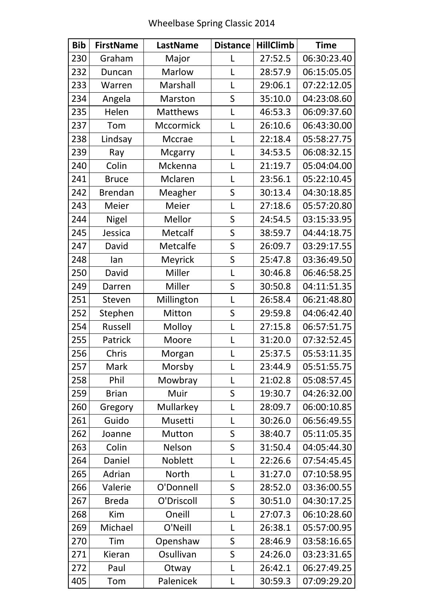| <b>Bib</b> | <b>FirstName</b> | LastName       | <b>Distance</b> | <b>HillClimb</b> | <b>Time</b> |
|------------|------------------|----------------|-----------------|------------------|-------------|
| 230        | Graham           | Major          | L               | 27:52.5          | 06:30:23.40 |
| 232        | Duncan           | Marlow         | L               | 28:57.9          | 06:15:05.05 |
| 233        | Warren           | Marshall       | $\mathsf{L}$    | 29:06.1          | 07:22:12.05 |
| 234        | Angela           | Marston        | S               | 35:10.0          | 04:23:08.60 |
| 235        | Helen            | Matthews       | L               | 46:53.3          | 06:09:37.60 |
| 237        | Tom              | Mccormick      | L               | 26:10.6          | 06:43:30.00 |
| 238        | Lindsay          | Mccrae         | L               | 22:18.4          | 05:58:27.75 |
| 239        | Ray              | <b>Mcgarry</b> | L               | 34:53.5          | 06:08:32.15 |
| 240        | Colin            | Mckenna        | L               | 21:19.7          | 05:04:04.00 |
| 241        | <b>Bruce</b>     | Mclaren        | $\mathsf{L}$    | 23:56.1          | 05:22:10.45 |
| 242        | <b>Brendan</b>   | Meagher        | S               | 30:13.4          | 04:30:18.85 |
| 243        | Meier            | Meier          | L               | 27:18.6          | 05:57:20.80 |
| 244        | <b>Nigel</b>     | Mellor         | S               | 24:54.5          | 03:15:33.95 |
| 245        | Jessica          | Metcalf        | S               | 38:59.7          | 04:44:18.75 |
| 247        | David            | Metcalfe       | S               | 26:09.7          | 03:29:17.55 |
| 248        | lan              | Meyrick        | S               | 25:47.8          | 03:36:49.50 |
| 250        | David            | Miller         | $\mathsf{L}$    | 30:46.8          | 06:46:58.25 |
| 249        | Darren           | Miller         | S               | 30:50.8          | 04:11:51.35 |
| 251        | Steven           | Millington     | L               | 26:58.4          | 06:21:48.80 |
| 252        | Stephen          | Mitton         | S               | 29:59.8          | 04:06:42.40 |
| 254        | Russell          | Molloy         | L               | 27:15.8          | 06:57:51.75 |
| 255        | Patrick          | Moore          |                 | 31:20.0          | 07:32:52.45 |
| 256        | Chris            | Morgan         | L               | 25:37.5          | 05:53:11.35 |
| 257        | Mark             | Morsby         | L               | 23:44.9          | 05:51:55.75 |
| 258        | Phil             | Mowbray        | L               | 21:02.8          | 05:08:57.45 |
| 259        | <b>Brian</b>     | Muir           | S               | 19:30.7          | 04:26:32.00 |
| 260        | Gregory          | Mullarkey      | L               | 28:09.7          | 06:00:10.85 |
| 261        | Guido            | Musetti        | L               | 30:26.0          | 06:56:49.55 |
| 262        | Joanne           | Mutton         | S               | 38:40.7          | 05:11:05.35 |
| 263        | Colin            | Nelson         | S               | 31:50.4          | 04:05:44.30 |
| 264        | Daniel           | Noblett        | L               | 22:26.6          | 07:54:45.45 |
| 265        | Adrian           | <b>North</b>   | L               | 31:27.0          | 07:10:58.95 |
| 266        | Valerie          | O'Donnell      | S               | 28:52.0          | 03:36:00.55 |
| 267        | <b>Breda</b>     | O'Driscoll     | S               | 30:51.0          | 04:30:17.25 |
| 268        | Kim              | Oneill         | L               | 27:07.3          | 06:10:28.60 |
| 269        | Michael          | O'Neill        | L               | 26:38.1          | 05:57:00.95 |
| 270        | Tim              | Openshaw       | S               | 28:46.9          | 03:58:16.65 |
| 271        | Kieran           | Osullivan      | S               | 24:26.0          | 03:23:31.65 |
| 272        | Paul             | Otway          | L               | 26:42.1          | 06:27:49.25 |
| 405        | Tom              | Palenicek      | L               | 30:59.3          | 07:09:29.20 |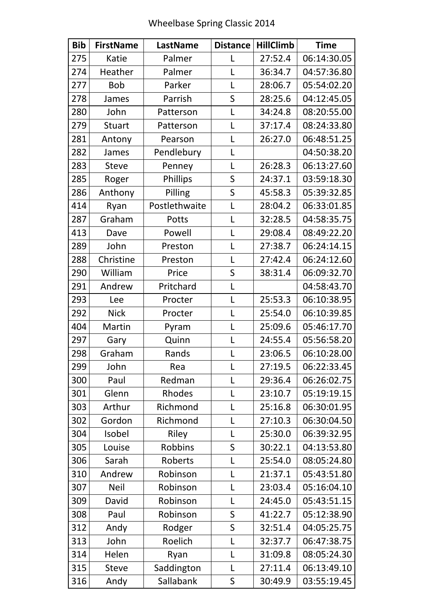| <b>Bib</b> | <b>FirstName</b> | LastName        | <b>Distance</b> | <b>HillClimb</b> | <b>Time</b> |
|------------|------------------|-----------------|-----------------|------------------|-------------|
| 275        | <b>Katie</b>     | Palmer          | L               | 27:52.4          | 06:14:30.05 |
| 274        | Heather          | Palmer          | L               | 36:34.7          | 04:57:36.80 |
| 277        | <b>Bob</b>       | Parker          | L               | 28:06.7          | 05:54:02.20 |
| 278        | James            | Parrish         | S               | 28:25.6          | 04:12:45.05 |
| 280        | John             | Patterson       | L               | 34:24.8          | 08:20:55.00 |
| 279        | <b>Stuart</b>    | Patterson       | L               | 37:17.4          | 08:24:33.80 |
| 281        | Antony           | Pearson         | L               | 26:27.0          | 06:48:51.25 |
| 282        | James            | Pendlebury      | L               |                  | 04:50:38.20 |
| 283        | <b>Steve</b>     | Penney          | L               | 26:28.3          | 06:13:27.60 |
| 285        | Roger            | <b>Phillips</b> | S               | 24:37.1          | 03:59:18.30 |
| 286        | Anthony          | Pilling         | S               | 45:58.3          | 05:39:32.85 |
| 414        | Ryan             | Postlethwaite   | L               | 28:04.2          | 06:33:01.85 |
| 287        | Graham           | Potts           | L               | 32:28.5          | 04:58:35.75 |
| 413        | Dave             | Powell          | L               | 29:08.4          | 08:49:22.20 |
| 289        | John             | Preston         | L               | 27:38.7          | 06:24:14.15 |
| 288        | Christine        | Preston         | L               | 27:42.4          | 06:24:12.60 |
| 290        | William          | Price           | S               | 38:31.4          | 06:09:32.70 |
| 291        | Andrew           | Pritchard       | L               |                  | 04:58:43.70 |
| 293        | Lee              | Procter         | L               | 25:53.3          | 06:10:38.95 |
| 292        | <b>Nick</b>      | Procter         | L               | 25:54.0          | 06:10:39.85 |
| 404        | Martin           | Pyram           | L               | 25:09.6          | 05:46:17.70 |
| 297        | Gary             | Quinn           | L               | 24:55.4          | 05:56:58.20 |
| 298        | Graham           | Rands           | L               | 23:06.5          | 06:10:28.00 |
| 299        | John             | Rea             | L               | 27:19.5          | 06:22:33.45 |
| 300        | Paul             | Redman          | L               | 29:36.4          | 06:26:02.75 |
| 301        | Glenn            | Rhodes          | L               | 23:10.7          | 05:19:19.15 |
| 303        | Arthur           | Richmond        | L               | 25:16.8          | 06:30:01.95 |
| 302        | Gordon           | Richmond        | L               | 27:10.3          | 06:30:04.50 |
| 304        | Isobel           | Riley           | L               | 25:30.0          | 06:39:32.95 |
| 305        | Louise           | <b>Robbins</b>  | S               | 30:22.1          | 04:13:53.80 |
| 306        | Sarah            | Roberts         | L               | 25:54.0          | 08:05:24.80 |
| 310        | Andrew           | Robinson        | L               | 21:37.1          | 05:43:51.80 |
| 307        | <b>Neil</b>      | Robinson        | L               | 23:03.4          | 05:16:04.10 |
| 309        | David            | Robinson        | L               | 24:45.0          | 05:43:51.15 |
| 308        | Paul             | Robinson        | S               | 41:22.7          | 05:12:38.90 |
| 312        | Andy             | Rodger          | S               | 32:51.4          | 04:05:25.75 |
| 313        | John             | Roelich         | L               | 32:37.7          | 06:47:38.75 |
| 314        | Helen            | Ryan            | L               | 31:09.8          | 08:05:24.30 |
| 315        | <b>Steve</b>     | Saddington      | L               | 27:11.4          | 06:13:49.10 |
| 316        | Andy             | Sallabank       | S               | 30:49.9          | 03:55:19.45 |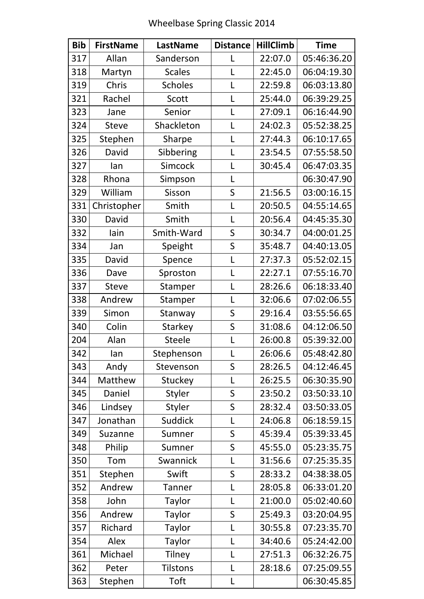| <b>Bib</b> | <b>FirstName</b> | LastName        | <b>Distance</b> | <b>HillClimb</b> | <b>Time</b> |
|------------|------------------|-----------------|-----------------|------------------|-------------|
| 317        | Allan            | Sanderson       | L               | 22:07.0          | 05:46:36.20 |
| 318        | Martyn           | <b>Scales</b>   | L               | 22:45.0          | 06:04:19.30 |
| 319        | Chris            | <b>Scholes</b>  | $\overline{L}$  | 22:59.8          | 06:03:13.80 |
| 321        | Rachel           | Scott           | $\mathsf{L}$    | 25:44.0          | 06:39:29.25 |
| 323        | Jane             | Senior          | L               | 27:09.1          | 06:16:44.90 |
| 324        | <b>Steve</b>     | Shackleton      | L               | 24:02.3          | 05:52:38.25 |
| 325        | Stephen          | Sharpe          | L               | 27:44.3          | 06:10:17.65 |
| 326        | David            | Sibbering       | L               | 23:54.5          | 07:55:58.50 |
| 327        | lan              | Simcock         | L               | 30:45.4          | 06:47:03.35 |
| 328        | Rhona            | Simpson         | $\overline{L}$  |                  | 06:30:47.90 |
| 329        | William          | Sisson          | S               | 21:56.5          | 03:00:16.15 |
| 331        | Christopher      | Smith           | L               | 20:50.5          | 04:55:14.65 |
| 330        | David            | Smith           | $\mathsf{L}$    | 20:56.4          | 04:45:35.30 |
| 332        | lain             | Smith-Ward      | S               | 30:34.7          | 04:00:01.25 |
| 334        | Jan              | Speight         | S               | 35:48.7          | 04:40:13.05 |
| 335        | David            | Spence          | L               | 27:37.3          | 05:52:02.15 |
| 336        | Dave             | Sproston        | $\overline{L}$  | 22:27.1          | 07:55:16.70 |
| 337        | <b>Steve</b>     | Stamper         | $\overline{L}$  | 28:26.6          | 06:18:33.40 |
| 338        | Andrew           | Stamper         | L               | 32:06.6          | 07:02:06.55 |
| 339        | Simon            | Stanway         | S               | 29:16.4          | 03:55:56.65 |
| 340        | Colin            | <b>Starkey</b>  | S               | 31:08.6          | 04:12:06.50 |
| 204        | Alan             | <b>Steele</b>   | $\mathsf{L}$    | 26:00.8          | 05:39:32.00 |
| 342        | lan              | Stephenson      | L               | 26:06.6          | 05:48:42.80 |
| 343        | Andy             | Stevenson       | S               | 28:26.5          | 04:12:46.45 |
| 344        | Matthew          | Stuckey         | L               | 26:25.5          | 06:30:35.90 |
| 345        | Daniel           | Styler          | S               | 23:50.2          | 03:50:33.10 |
| 346        | Lindsey          | <b>Styler</b>   | S               | 28:32.4          | 03:50:33.05 |
| 347        | Jonathan         | Suddick         | L               | 24:06.8          | 06:18:59.15 |
| 349        | Suzanne          | Sumner          | $\sf S$         | 45:39.4          | 05:39:33.45 |
| 348        | Philip           | Sumner          | S               | 45:55.0          | 05:23:35.75 |
| 350        | Tom              | Swannick        | $\mathsf{L}$    | 31:56.6          | 07:25:35.35 |
| 351        | Stephen          | Swift           | S               | 28:33.2          | 04:38:38.05 |
| 352        | Andrew           | <b>Tanner</b>   | L               | 28:05.8          | 06:33:01.20 |
| 358        | John             | <b>Taylor</b>   | L               | 21:00.0          | 05:02:40.60 |
| 356        | Andrew           | <b>Taylor</b>   | S               | 25:49.3          | 03:20:04.95 |
| 357        | Richard          | <b>Taylor</b>   | L               | 30:55.8          | 07:23:35.70 |
| 354        | Alex             | <b>Taylor</b>   | $\mathsf{L}$    | 34:40.6          | 05:24:42.00 |
| 361        | Michael          | <b>Tilney</b>   | L               | 27:51.3          | 06:32:26.75 |
| 362        | Peter            | <b>Tilstons</b> | $\mathsf{L}$    | 28:18.6          | 07:25:09.55 |
| 363        | Stephen          | Toft            | $\mathsf{L}$    |                  | 06:30:45.85 |